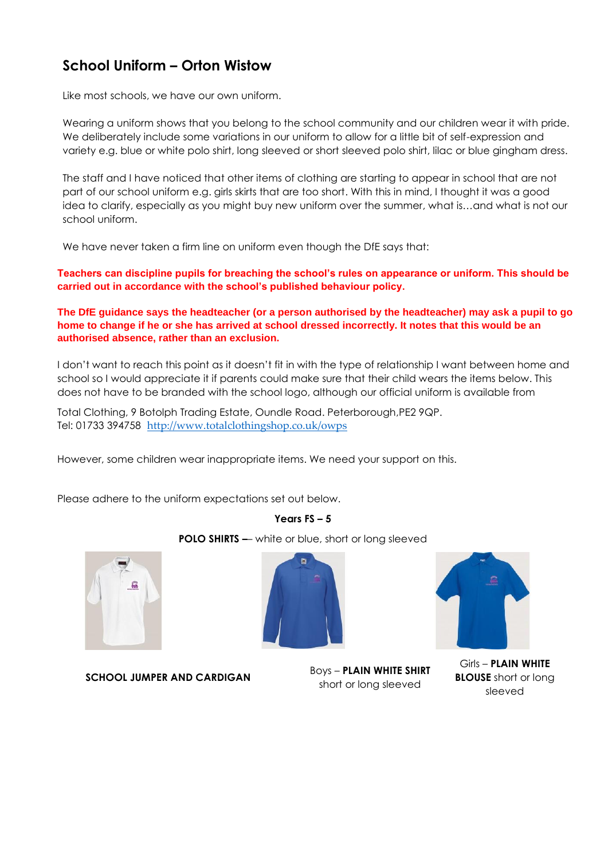# **School Uniform – Orton Wistow**

Like most schools, we have our own uniform.

Wearing a uniform shows that you belong to the school community and our children wear it with pride. We deliberately include some variations in our uniform to allow for a little bit of self-expression and variety e.g. blue or white polo shirt, long sleeved or short sleeved polo shirt, lilac or blue gingham dress.

The staff and I have noticed that other items of clothing are starting to appear in school that are not part of our school uniform e.g. girls skirts that are too short. With this in mind, I thought it was a good idea to clarify, especially as you might buy new uniform over the summer, what is…and what is not our school uniform.

We have never taken a firm line on uniform even though the DfE says that:

**Teachers can discipline pupils for breaching the school's rules on appearance or uniform. This should be carried out in accordance with the school's published behaviour policy.**

**The DfE guidance says the headteacher (or a person authorised by the headteacher) may ask a pupil to go home to change if he or she has arrived at school dressed incorrectly. It notes that this would be an authorised absence, rather than an exclusion.**

I don't want to reach this point as it doesn't fit in with the type of relationship I want between home and school so I would appreciate it if parents could make sure that their child wears the items below. This does not have to be branded with the school logo, although our official uniform is available from

Total Clothing, 9 Botolph Trading Estate, Oundle Road. Peterborough,PE2 9QP. Tel: 01733 394758 <http://www.totalclothingshop.co.uk/owps>

However, some children wear inappropriate items. We need your support on this.

Please adhere to the uniform expectations set out below.

**Years FS – 5**

**POLO SHIRTS –**– white or blue, short or long sleeved





**SCHOOL JUMPER AND CARDIGAN** Boys – **PLAIN WHITE SHIRT**

short or long sleeved

Girls – **PLAIN WHITE BLOUSE** short or long sleeved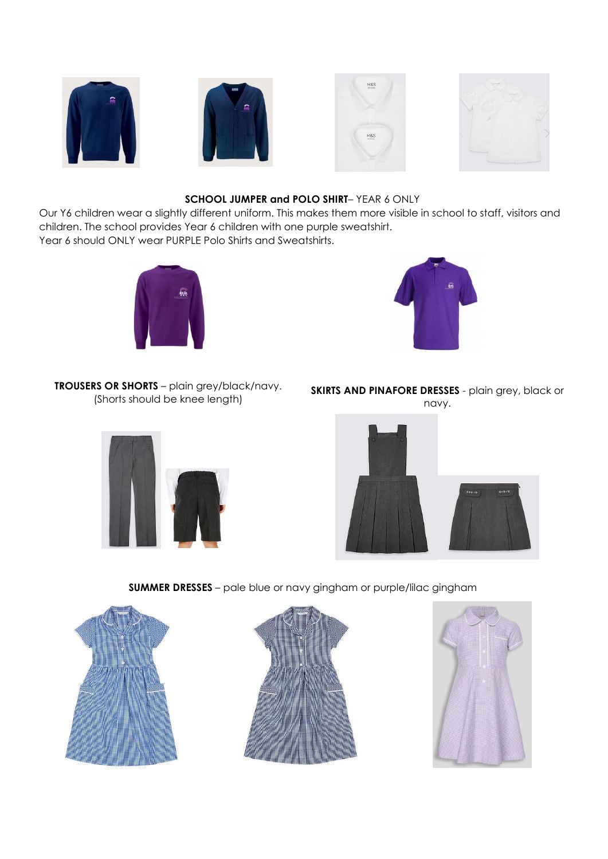







# **SCHOOL JUMPER and POLO SHIRT**– YEAR 6 ONLY

Our Y6 children wear a slightly different uniform. This makes them more visible in school to staff, visitors and children. The school provides Year 6 children with one purple sweatshirt. Year 6 should ONLY wear PURPLE Polo Shirts and Sweatshirts.





**TROUSERS OR SHORTS** – plain grey/black/navy. (Shorts should be knee length)



**SKIRTS AND PINAFORE DRESSES** - plain grey, black or navy.



# **SUMMER DRESSES** – pale blue or navy gingham or purple/lilac gingham





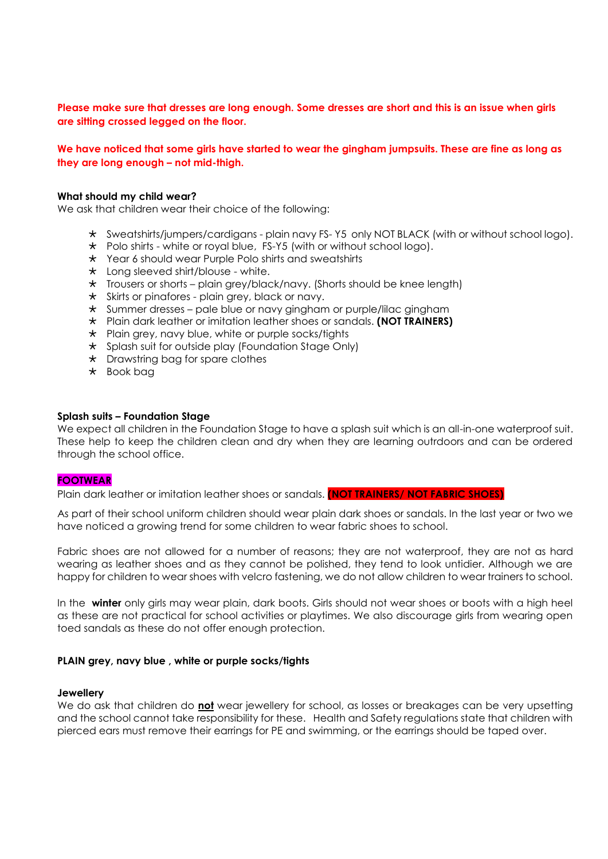# **Please make sure that dresses are long enough. Some dresses are short and this is an issue when girls are sitting crossed legged on the floor.**

# **We have noticed that some girls have started to wear the gingham jumpsuits. These are fine as long as they are long enough – not mid-thigh.**

#### **What should my child wear?**

We ask that children wear their choice of the following:

- Sweatshirts/jumpers/cardigans plain navy FS- Y5 only NOT BLACK (with or without school logo).
- \* Polo shirts white or royal blue, FS-Y5 (with or without school logo).
- \* Year 6 should wear Purple Polo shirts and sweatshirts
- $\star$  Long sleeved shirt/blouse white.
- \* Trousers or shorts plain grey/black/navy. (Shorts should be knee length)
- $\star$  Skirts or pinafores plain grey, black or navy.
- \* Summer dresses pale blue or navy gingham or purple/lilac gingham
- Plain dark leather or imitation leather shoes or sandals. **(NOT TRAINERS)**
- $\star$  Plain grey, navy blue, white or purple socks/tights
- $\star$  Splash suit for outside play (Foundation Stage Only)
- \* Drawstring bag for spare clothes
- $\star$  Book bag

#### **Splash suits – Foundation Stage**

We expect all children in the Foundation Stage to have a splash suit which is an all-in-one waterproof suit. These help to keep the children clean and dry when they are learning outrdoors and can be ordered through the school office.

#### **FOOTWEAR**

Plain dark leather or imitation leather shoes or sandals. **(NOT TRAINERS/ NOT FABRIC SHOES)**

As part of their school uniform children should wear plain dark shoes or sandals. In the last year or two we have noticed a growing trend for some children to wear fabric shoes to school.

Fabric shoes are not allowed for a number of reasons; they are not waterproof, they are not as hard wearing as leather shoes and as they cannot be polished, they tend to look untidier. Although we are happy for children to wear shoes with velcro fastening, we do not allow children to wear trainers to school.

In the **winter** only girls may wear plain, dark boots. Girls should not wear shoes or boots with a high heel as these are not practical for school activities or playtimes. We also discourage girls from wearing open toed sandals as these do not offer enough protection.

#### **PLAIN grey, navy blue , white or purple socks/tights**

#### **Jewellery**

We do ask that children do **not** wear jewellery for school, as losses or breakages can be very upsetting and the school cannot take responsibility for these. Health and Safety regulations state that children with pierced ears must remove their earrings for PE and swimming, or the earrings should be taped over.